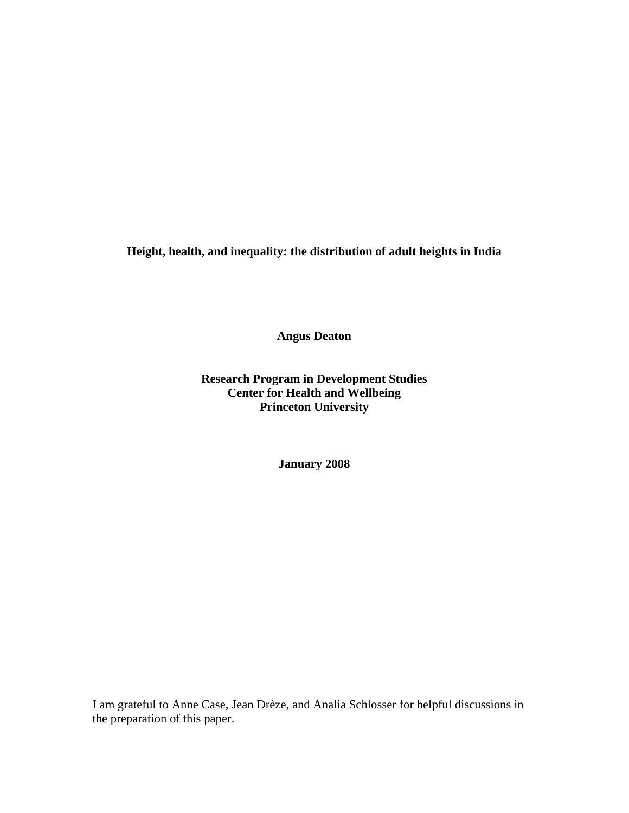**Height, health, and inequality: the distribution of adult heights in India** 

**Angus Deaton** 

**Research Program in Development Studies Center for Health and Wellbeing Princeton University** 

**January 2008** 

I am grateful to Anne Case, Jean Drèze, and Analia Schlosser for helpful discussions in the preparation of this paper.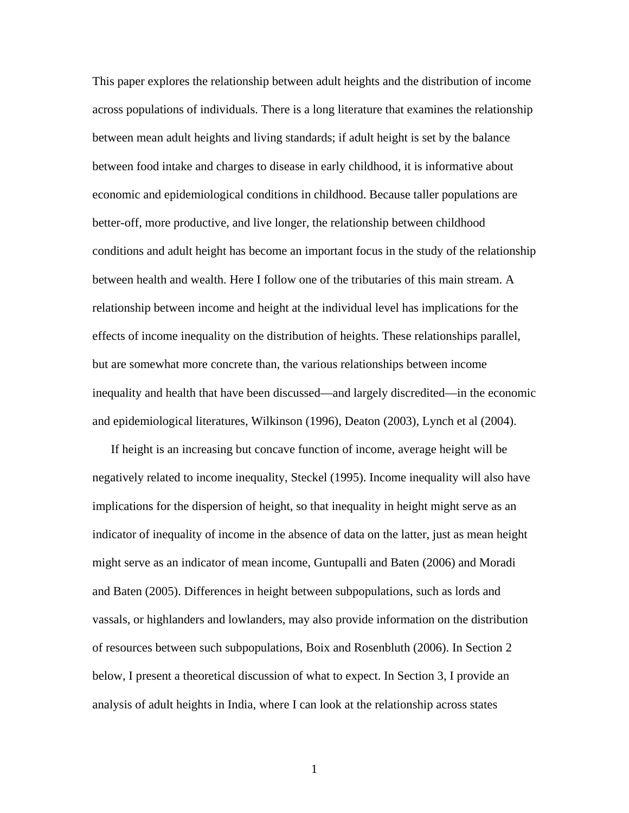This paper explores the relationship between adult heights and the distribution of income across populations of individuals. There is a long literature that examines the relationship between mean adult heights and living standards; if adult height is set by the balance between food intake and charges to disease in early childhood, it is informative about economic and epidemiological conditions in childhood. Because taller populations are better-off, more productive, and live longer, the relationship between childhood conditions and adult height has become an important focus in the study of the relationship between health and wealth. Here I follow one of the tributaries of this main stream. A relationship between income and height at the individual level has implications for the effects of income inequality on the distribution of heights. These relationships parallel, but are somewhat more concrete than, the various relationships between income inequality and health that have been discussed—and largely discredited—in the economic and epidemiological literatures, Wilkinson (1996), Deaton (2003), Lynch et al (2004).

 If height is an increasing but concave function of income, average height will be negatively related to income inequality, Steckel (1995). Income inequality will also have implications for the dispersion of height, so that inequality in height might serve as an indicator of inequality of income in the absence of data on the latter, just as mean height might serve as an indicator of mean income, Guntupalli and Baten (2006) and Moradi and Baten (2005). Differences in height between subpopulations, such as lords and vassals, or highlanders and lowlanders, may also provide information on the distribution of resources between such subpopulations, Boix and Rosenbluth (2006). In Section 2 below, I present a theoretical discussion of what to expect. In Section 3, I provide an analysis of adult heights in India, where I can look at the relationship across states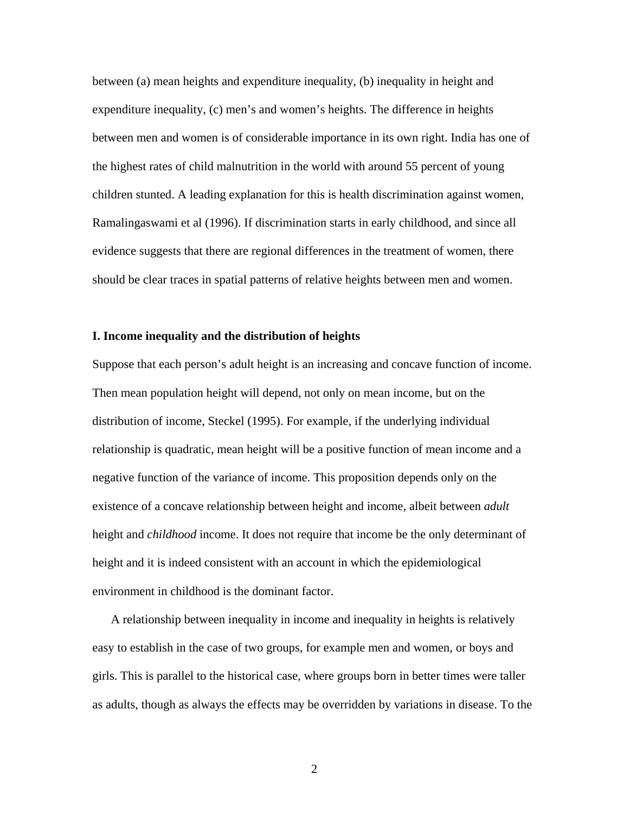between (a) mean heights and expenditure inequality, (b) inequality in height and expenditure inequality, (c) men's and women's heights. The difference in heights between men and women is of considerable importance in its own right. India has one of the highest rates of child malnutrition in the world with around 55 percent of young children stunted. A leading explanation for this is health discrimination against women, Ramalingaswami et al (1996). If discrimination starts in early childhood, and since all evidence suggests that there are regional differences in the treatment of women, there should be clear traces in spatial patterns of relative heights between men and women.

### **I. Income inequality and the distribution of heights**

Suppose that each person's adult height is an increasing and concave function of income. Then mean population height will depend, not only on mean income, but on the distribution of income, Steckel (1995). For example, if the underlying individual relationship is quadratic, mean height will be a positive function of mean income and a negative function of the variance of income. This proposition depends only on the existence of a concave relationship between height and income, albeit between *adult* height and *childhood* income. It does not require that income be the only determinant of height and it is indeed consistent with an account in which the epidemiological environment in childhood is the dominant factor.

 A relationship between inequality in income and inequality in heights is relatively easy to establish in the case of two groups, for example men and women, or boys and girls. This is parallel to the historical case, where groups born in better times were taller as adults, though as always the effects may be overridden by variations in disease. To the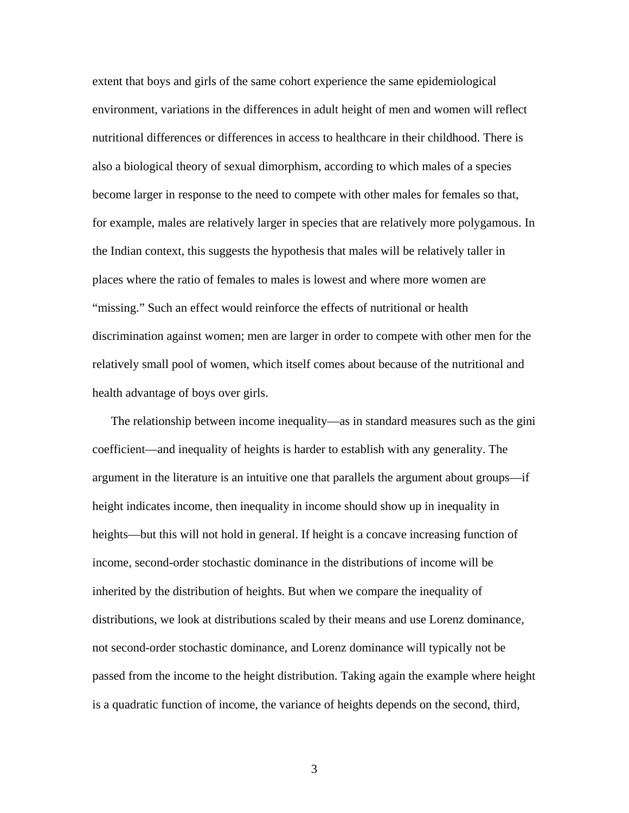extent that boys and girls of the same cohort experience the same epidemiological environment, variations in the differences in adult height of men and women will reflect nutritional differences or differences in access to healthcare in their childhood. There is also a biological theory of sexual dimorphism, according to which males of a species become larger in response to the need to compete with other males for females so that, for example, males are relatively larger in species that are relatively more polygamous. In the Indian context, this suggests the hypothesis that males will be relatively taller in places where the ratio of females to males is lowest and where more women are "missing." Such an effect would reinforce the effects of nutritional or health discrimination against women; men are larger in order to compete with other men for the relatively small pool of women, which itself comes about because of the nutritional and health advantage of boys over girls.

 The relationship between income inequality—as in standard measures such as the gini coefficient—and inequality of heights is harder to establish with any generality. The argument in the literature is an intuitive one that parallels the argument about groups—if height indicates income, then inequality in income should show up in inequality in heights—but this will not hold in general. If height is a concave increasing function of income, second-order stochastic dominance in the distributions of income will be inherited by the distribution of heights. But when we compare the inequality of distributions, we look at distributions scaled by their means and use Lorenz dominance, not second-order stochastic dominance, and Lorenz dominance will typically not be passed from the income to the height distribution. Taking again the example where height is a quadratic function of income, the variance of heights depends on the second, third,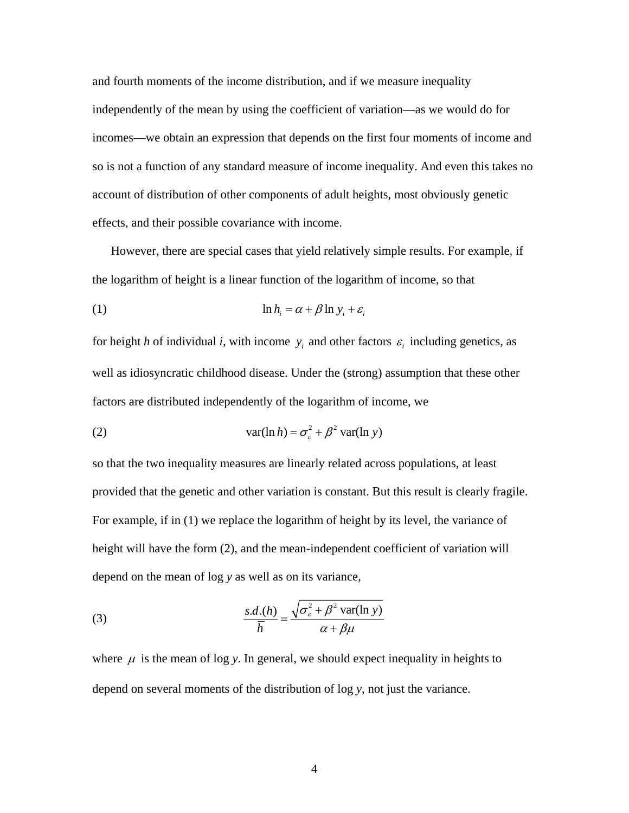and fourth moments of the income distribution, and if we measure inequality independently of the mean by using the coefficient of variation—as we would do for incomes—we obtain an expression that depends on the first four moments of income and so is not a function of any standard measure of income inequality. And even this takes no account of distribution of other components of adult heights, most obviously genetic effects, and their possible covariance with income.

 However, there are special cases that yield relatively simple results. For example, if the logarithm of height is a linear function of the logarithm of income, so that

(1) 
$$
\ln h_i = \alpha + \beta \ln y_i + \varepsilon_i
$$

for height *h* of individual *i*, with income  $y_i$  and other factors  $\varepsilon_i$  including genetics, as well as idiosyncratic childhood disease. Under the (strong) assumption that these other factors are distributed independently of the logarithm of income, we

(2) 
$$
\text{var}(\ln h) = \sigma_{\varepsilon}^2 + \beta^2 \text{var}(\ln y)
$$

so that the two inequality measures are linearly related across populations, at least provided that the genetic and other variation is constant. But this result is clearly fragile. For example, if in (1) we replace the logarithm of height by its level, the variance of height will have the form (2), and the mean-independent coefficient of variation will depend on the mean of log *y* as well as on its variance,

(3) 
$$
\frac{s.d.(h)}{\overline{h}} = \frac{\sqrt{\sigma_{\varepsilon}^2 + \beta^2 \operatorname{var}(\ln y)}}{\alpha + \beta \mu}
$$

where  $\mu$  is the mean of log *y*. In general, we should expect inequality in heights to depend on several moments of the distribution of log *y*, not just the variance.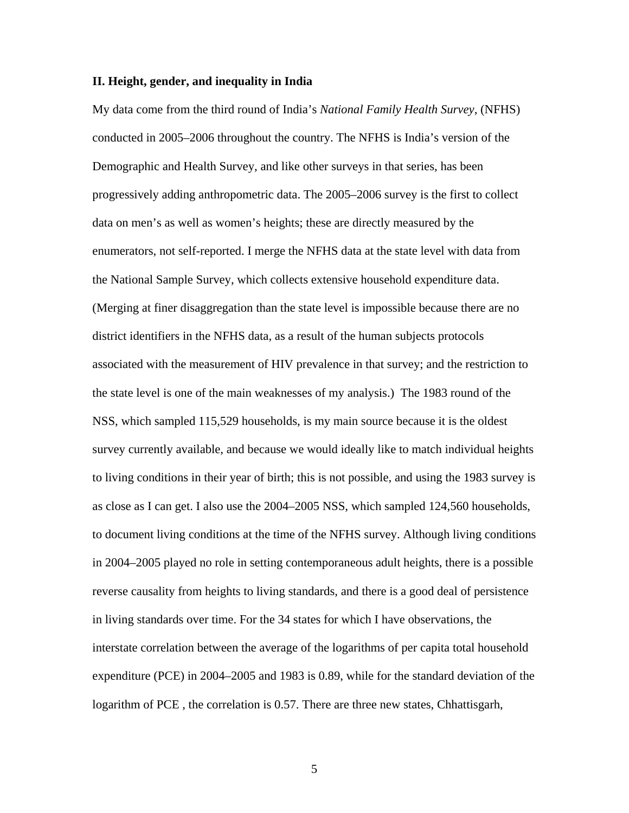#### **II. Height, gender, and inequality in India**

My data come from the third round of India's *National Family Health Survey*, (NFHS) conducted in 2005–2006 throughout the country. The NFHS is India's version of the Demographic and Health Survey, and like other surveys in that series, has been progressively adding anthropometric data. The 2005–2006 survey is the first to collect data on men's as well as women's heights; these are directly measured by the enumerators, not self-reported. I merge the NFHS data at the state level with data from the National Sample Survey, which collects extensive household expenditure data. (Merging at finer disaggregation than the state level is impossible because there are no district identifiers in the NFHS data, as a result of the human subjects protocols associated with the measurement of HIV prevalence in that survey; and the restriction to the state level is one of the main weaknesses of my analysis.) The 1983 round of the NSS, which sampled 115,529 households, is my main source because it is the oldest survey currently available, and because we would ideally like to match individual heights to living conditions in their year of birth; this is not possible, and using the 1983 survey is as close as I can get. I also use the 2004–2005 NSS, which sampled 124,560 households, to document living conditions at the time of the NFHS survey. Although living conditions in 2004–2005 played no role in setting contemporaneous adult heights, there is a possible reverse causality from heights to living standards, and there is a good deal of persistence in living standards over time. For the 34 states for which I have observations, the interstate correlation between the average of the logarithms of per capita total household expenditure (PCE) in 2004–2005 and 1983 is 0.89, while for the standard deviation of the logarithm of PCE , the correlation is 0.57. There are three new states, Chhattisgarh,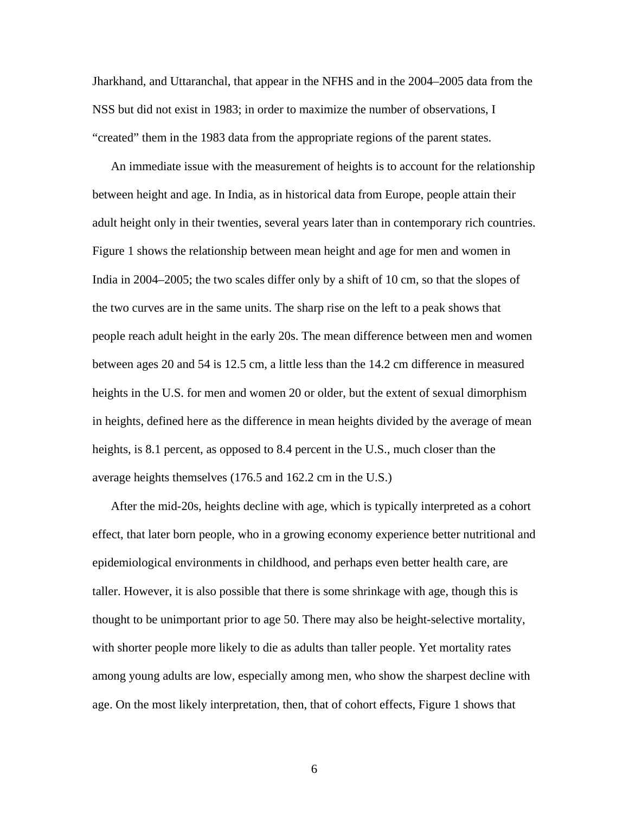Jharkhand, and Uttaranchal, that appear in the NFHS and in the 2004–2005 data from the NSS but did not exist in 1983; in order to maximize the number of observations, I "created" them in the 1983 data from the appropriate regions of the parent states.

 An immediate issue with the measurement of heights is to account for the relationship between height and age. In India, as in historical data from Europe, people attain their adult height only in their twenties, several years later than in contemporary rich countries. Figure 1 shows the relationship between mean height and age for men and women in India in 2004–2005; the two scales differ only by a shift of 10 cm, so that the slopes of the two curves are in the same units. The sharp rise on the left to a peak shows that people reach adult height in the early 20s. The mean difference between men and women between ages 20 and 54 is 12.5 cm, a little less than the 14.2 cm difference in measured heights in the U.S. for men and women 20 or older, but the extent of sexual dimorphism in heights, defined here as the difference in mean heights divided by the average of mean heights, is 8.1 percent, as opposed to 8.4 percent in the U.S., much closer than the average heights themselves (176.5 and 162.2 cm in the U.S.)

 After the mid-20s, heights decline with age, which is typically interpreted as a cohort effect, that later born people, who in a growing economy experience better nutritional and epidemiological environments in childhood, and perhaps even better health care, are taller. However, it is also possible that there is some shrinkage with age, though this is thought to be unimportant prior to age 50. There may also be height-selective mortality, with shorter people more likely to die as adults than taller people. Yet mortality rates among young adults are low, especially among men, who show the sharpest decline with age. On the most likely interpretation, then, that of cohort effects, Figure 1 shows that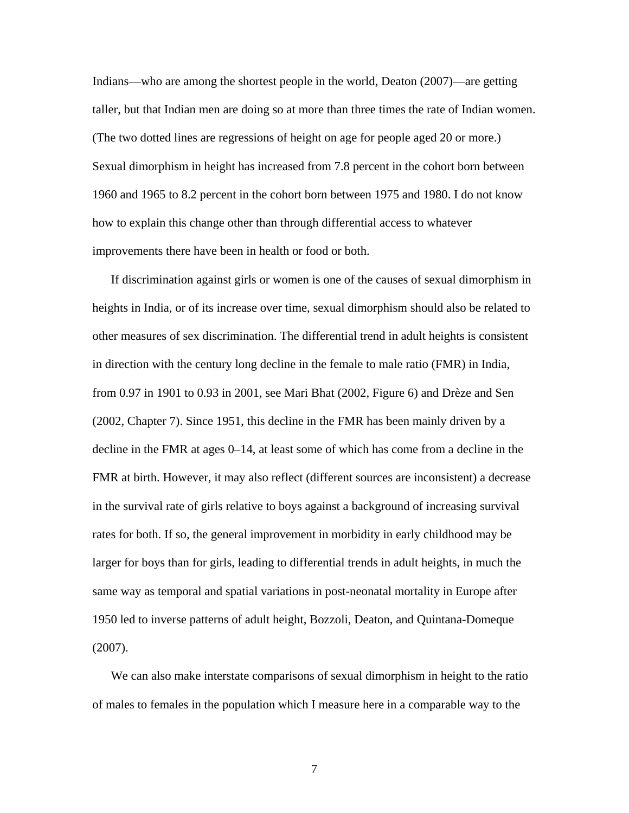Indians—who are among the shortest people in the world, Deaton (2007)—are getting taller, but that Indian men are doing so at more than three times the rate of Indian women. (The two dotted lines are regressions of height on age for people aged 20 or more.) Sexual dimorphism in height has increased from 7.8 percent in the cohort born between 1960 and 1965 to 8.2 percent in the cohort born between 1975 and 1980. I do not know how to explain this change other than through differential access to whatever improvements there have been in health or food or both.

 If discrimination against girls or women is one of the causes of sexual dimorphism in heights in India, or of its increase over time, sexual dimorphism should also be related to other measures of sex discrimination. The differential trend in adult heights is consistent in direction with the century long decline in the female to male ratio (FMR) in India, from 0.97 in 1901 to 0.93 in 2001, see Mari Bhat (2002, Figure 6) and Drèze and Sen (2002, Chapter 7). Since 1951, this decline in the FMR has been mainly driven by a decline in the FMR at ages 0–14, at least some of which has come from a decline in the FMR at birth. However, it may also reflect (different sources are inconsistent) a decrease in the survival rate of girls relative to boys against a background of increasing survival rates for both. If so, the general improvement in morbidity in early childhood may be larger for boys than for girls, leading to differential trends in adult heights, in much the same way as temporal and spatial variations in post-neonatal mortality in Europe after 1950 led to inverse patterns of adult height, Bozzoli, Deaton, and Quintana-Domeque (2007).

 We can also make interstate comparisons of sexual dimorphism in height to the ratio of males to females in the population which I measure here in a comparable way to the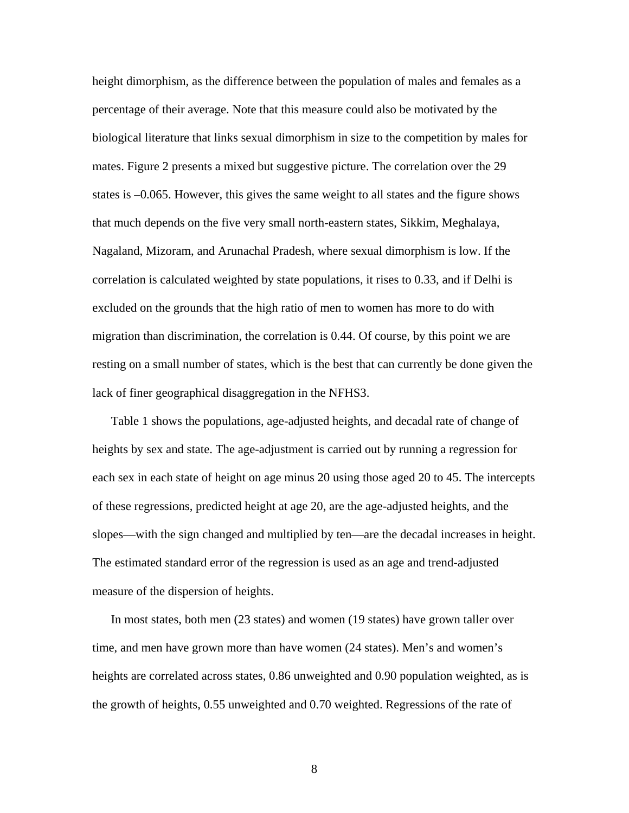height dimorphism, as the difference between the population of males and females as a percentage of their average. Note that this measure could also be motivated by the biological literature that links sexual dimorphism in size to the competition by males for mates. Figure 2 presents a mixed but suggestive picture. The correlation over the 29 states is –0.065. However, this gives the same weight to all states and the figure shows that much depends on the five very small north-eastern states, Sikkim, Meghalaya, Nagaland, Mizoram, and Arunachal Pradesh, where sexual dimorphism is low. If the correlation is calculated weighted by state populations, it rises to 0.33, and if Delhi is excluded on the grounds that the high ratio of men to women has more to do with migration than discrimination, the correlation is 0.44. Of course, by this point we are resting on a small number of states, which is the best that can currently be done given the lack of finer geographical disaggregation in the NFHS3.

 Table 1 shows the populations, age-adjusted heights, and decadal rate of change of heights by sex and state. The age-adjustment is carried out by running a regression for each sex in each state of height on age minus 20 using those aged 20 to 45. The intercepts of these regressions, predicted height at age 20, are the age-adjusted heights, and the slopes—with the sign changed and multiplied by ten—are the decadal increases in height. The estimated standard error of the regression is used as an age and trend-adjusted measure of the dispersion of heights.

 In most states, both men (23 states) and women (19 states) have grown taller over time, and men have grown more than have women (24 states). Men's and women's heights are correlated across states, 0.86 unweighted and 0.90 population weighted, as is the growth of heights, 0.55 unweighted and 0.70 weighted. Regressions of the rate of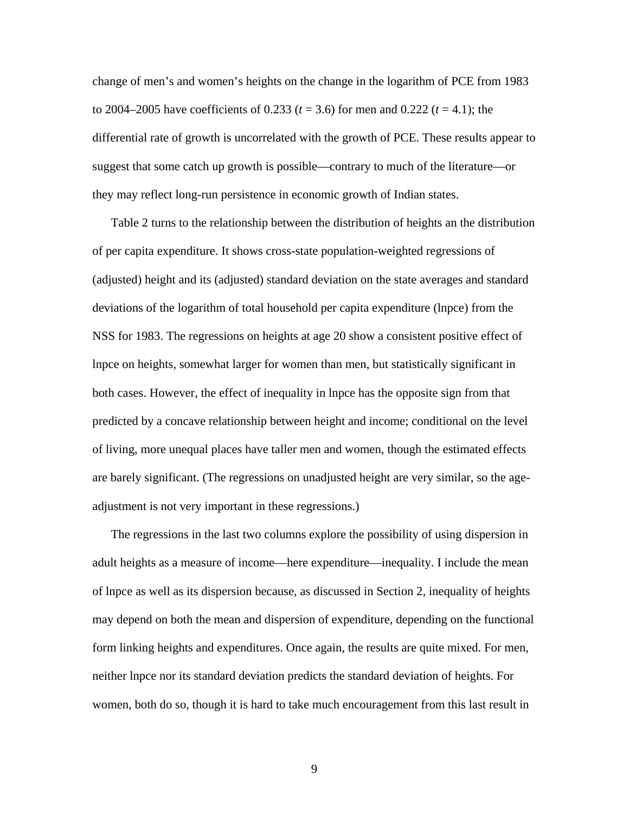change of men's and women's heights on the change in the logarithm of PCE from 1983 to 2004–2005 have coefficients of 0.233 (*t* = 3.6) for men and 0.222 (*t* = 4.1); the differential rate of growth is uncorrelated with the growth of PCE. These results appear to suggest that some catch up growth is possible—contrary to much of the literature—or they may reflect long-run persistence in economic growth of Indian states.

 Table 2 turns to the relationship between the distribution of heights an the distribution of per capita expenditure. It shows cross-state population-weighted regressions of (adjusted) height and its (adjusted) standard deviation on the state averages and standard deviations of the logarithm of total household per capita expenditure (lnpce) from the NSS for 1983. The regressions on heights at age 20 show a consistent positive effect of lnpce on heights, somewhat larger for women than men, but statistically significant in both cases. However, the effect of inequality in lnpce has the opposite sign from that predicted by a concave relationship between height and income; conditional on the level of living, more unequal places have taller men and women, though the estimated effects are barely significant. (The regressions on unadjusted height are very similar, so the ageadjustment is not very important in these regressions.)

 The regressions in the last two columns explore the possibility of using dispersion in adult heights as a measure of income—here expenditure—inequality. I include the mean of lnpce as well as its dispersion because, as discussed in Section 2, inequality of heights may depend on both the mean and dispersion of expenditure, depending on the functional form linking heights and expenditures. Once again, the results are quite mixed. For men, neither lnpce nor its standard deviation predicts the standard deviation of heights. For women, both do so, though it is hard to take much encouragement from this last result in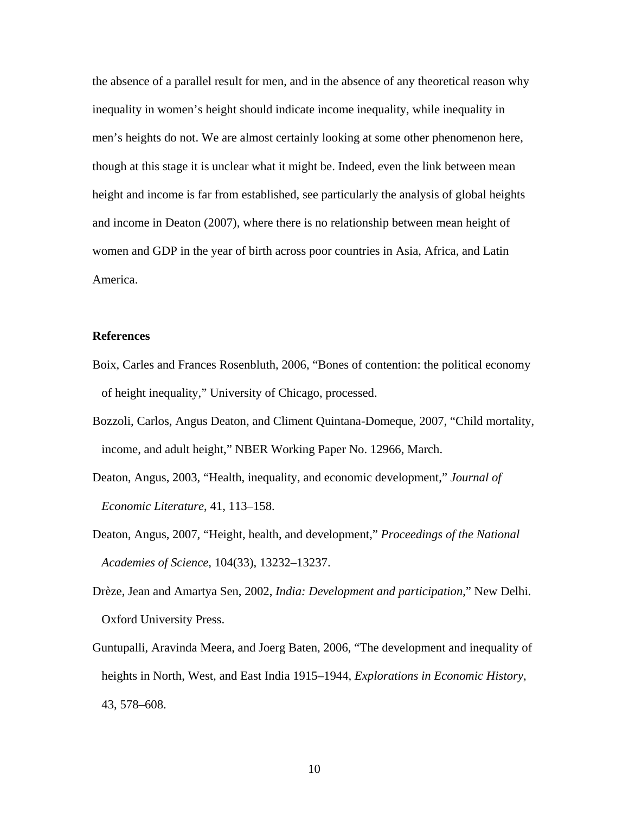the absence of a parallel result for men, and in the absence of any theoretical reason why inequality in women's height should indicate income inequality, while inequality in men's heights do not. We are almost certainly looking at some other phenomenon here, though at this stage it is unclear what it might be. Indeed, even the link between mean height and income is far from established, see particularly the analysis of global heights and income in Deaton (2007), where there is no relationship between mean height of women and GDP in the year of birth across poor countries in Asia, Africa, and Latin America.

## **References**

- Boix, Carles and Frances Rosenbluth, 2006, "Bones of contention: the political economy of height inequality," University of Chicago, processed.
- Bozzoli, Carlos, Angus Deaton, and Climent Quintana-Domeque, 2007, "Child mortality, income, and adult height," NBER Working Paper No. 12966, March.
- Deaton, Angus, 2003, "Health, inequality, and economic development," *Journal of Economic Literature*, 41, 113–158.
- Deaton, Angus, 2007, "Height, health, and development," *Proceedings of the National Academies of Science*, 104(33), 13232–13237.
- Drèze, Jean and Amartya Sen, 2002, *India: Development and participation*," New Delhi. Oxford University Press.
- Guntupalli, Aravinda Meera, and Joerg Baten, 2006, "The development and inequality of heights in North, West, and East India 1915–1944*, Explorations in Economic History*, 43, 578–608.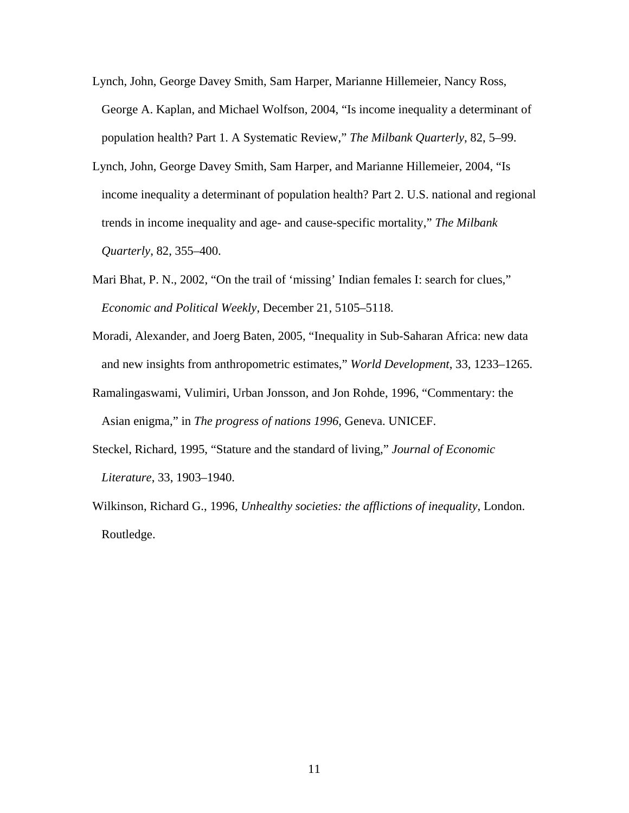- Lynch, John, George Davey Smith, Sam Harper, Marianne Hillemeier, Nancy Ross, George A. Kaplan, and Michael Wolfson, 2004, "Is income inequality a determinant of population health? Part 1. A Systematic Review," *The Milbank Quarterly*, 82, 5–99.
- Lynch, John, George Davey Smith, Sam Harper, and Marianne Hillemeier, 2004, "Is income inequality a determinant of population health? Part 2. U.S. national and regional trends in income inequality and age- and cause-specific mortality," *The Milbank Quarterly*, 82, 355–400.
- Mari Bhat, P. N., 2002, "On the trail of 'missing' Indian females I: search for clues," *Economic and Political Weekly*, December 21, 5105–5118.
- Moradi, Alexander, and Joerg Baten, 2005, "Inequality in Sub-Saharan Africa: new data and new insights from anthropometric estimates," *World Development*, 33, 1233–1265.
- Ramalingaswami, Vulimiri, Urban Jonsson, and Jon Rohde, 1996, "Commentary: the Asian enigma," in *The progress of nations 1996*, Geneva. UNICEF.
- Steckel, Richard, 1995, "Stature and the standard of living," *Journal of Economic Literature*, 33, 1903–1940.
- Wilkinson, Richard G., 1996, *Unhealthy societies: the afflictions of inequality*, London. Routledge.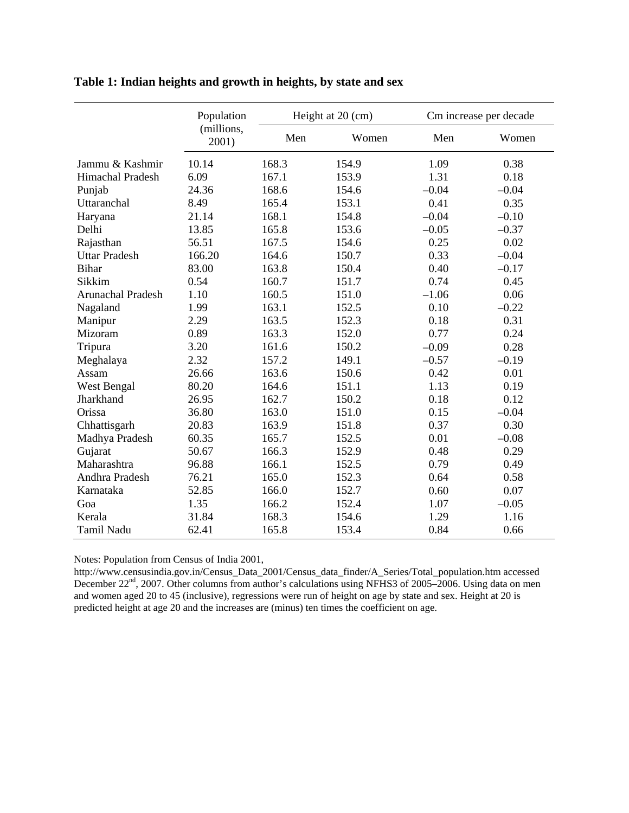|                      | Population          | Height at 20 (cm) |       | Cm increase per decade |         |
|----------------------|---------------------|-------------------|-------|------------------------|---------|
|                      | (millions,<br>2001) | Men               | Women | Men                    | Women   |
| Jammu & Kashmir      | 10.14               | 168.3             | 154.9 | 1.09                   | 0.38    |
| Himachal Pradesh     | 6.09                | 167.1             | 153.9 | 1.31                   | 0.18    |
| Punjab               | 24.36               | 168.6             | 154.6 | $-0.04$                | $-0.04$ |
| Uttaranchal          | 8.49                | 165.4             | 153.1 | 0.41                   | 0.35    |
| Haryana              | 21.14               | 168.1             | 154.8 | $-0.04$                | $-0.10$ |
| Delhi                | 13.85               | 165.8             | 153.6 | $-0.05$                | $-0.37$ |
| Rajasthan            | 56.51               | 167.5             | 154.6 | 0.25                   | 0.02    |
| <b>Uttar Pradesh</b> | 166.20              | 164.6             | 150.7 | 0.33                   | $-0.04$ |
| <b>Bihar</b>         | 83.00               | 163.8             | 150.4 | 0.40                   | $-0.17$ |
| Sikkim               | 0.54                | 160.7             | 151.7 | 0.74                   | 0.45    |
| Arunachal Pradesh    | 1.10                | 160.5             | 151.0 | $-1.06$                | 0.06    |
| Nagaland             | 1.99                | 163.1             | 152.5 | 0.10                   | $-0.22$ |
| Manipur              | 2.29                | 163.5             | 152.3 | 0.18                   | 0.31    |
| Mizoram              | 0.89                | 163.3             | 152.0 | 0.77                   | 0.24    |
| Tripura              | 3.20                | 161.6             | 150.2 | $-0.09$                | 0.28    |
| Meghalaya            | 2.32                | 157.2             | 149.1 | $-0.57$                | $-0.19$ |
| Assam                | 26.66               | 163.6             | 150.6 | 0.42                   | 0.01    |
| West Bengal          | 80.20               | 164.6             | 151.1 | 1.13                   | 0.19    |
| Jharkhand            | 26.95               | 162.7             | 150.2 | 0.18                   | 0.12    |
| Orissa               | 36.80               | 163.0             | 151.0 | 0.15                   | $-0.04$ |
| Chhattisgarh         | 20.83               | 163.9             | 151.8 | 0.37                   | 0.30    |
| Madhya Pradesh       | 60.35               | 165.7             | 152.5 | 0.01                   | $-0.08$ |
| Gujarat              | 50.67               | 166.3             | 152.9 | 0.48                   | 0.29    |
| Maharashtra          | 96.88               | 166.1             | 152.5 | 0.79                   | 0.49    |
| Andhra Pradesh       | 76.21               | 165.0             | 152.3 | 0.64                   | 0.58    |
| Karnataka            | 52.85               | 166.0             | 152.7 | 0.60                   | 0.07    |
| Goa                  | 1.35                | 166.2             | 152.4 | 1.07                   | $-0.05$ |
| Kerala               | 31.84               | 168.3             | 154.6 | 1.29                   | 1.16    |
| <b>Tamil Nadu</b>    | 62.41               | 165.8             | 153.4 | 0.84                   | 0.66    |

# **Table 1: Indian heights and growth in heights, by state and sex**

Notes: Population from Census of India 2001,

http://www.censusindia.gov.in/Census\_Data\_2001/Census\_data\_finder/A\_Series/Total\_population.htm accessed December 22<sup>nd</sup>, 2007. Other columns from author's calculations using NFHS3 of 2005–2006. Using data on men and women aged 20 to 45 (inclusive), regressions were run of height on age by state and sex. Height at 20 is predicted height at age 20 and the increases are (minus) ten times the coefficient on age.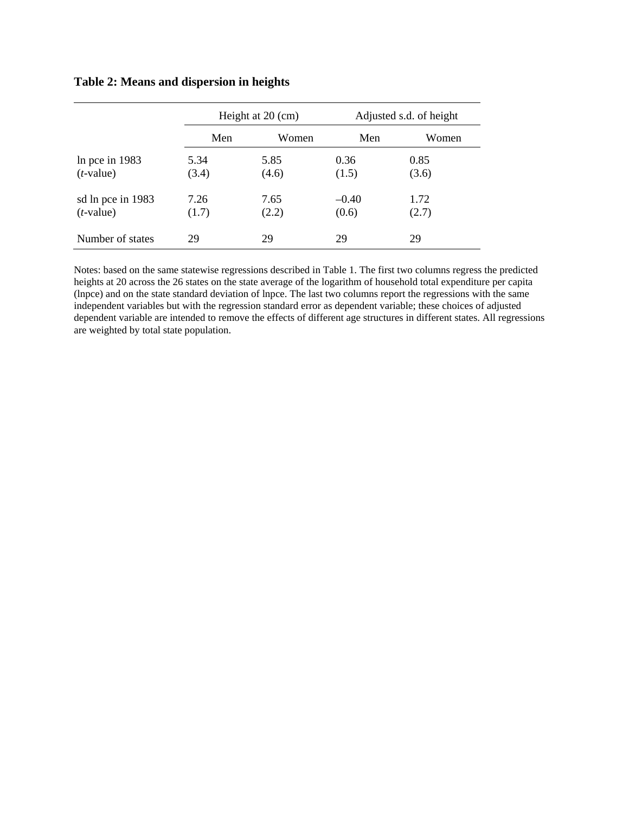|                                   | Height at 20 (cm) |               | Adjusted s.d. of height |               |  |
|-----------------------------------|-------------------|---------------|-------------------------|---------------|--|
|                                   | Men               | Women         | Men                     | Women         |  |
| In pce in $1983$<br>$(t$ -value)  | 5.34<br>(3.4)     | 5.85<br>(4.6) | 0.36<br>(1.5)           | 0.85<br>(3.6) |  |
| sd ln pce in 1983<br>$(t$ -value) | 7.26<br>(1.7)     | 7.65<br>(2.2) | $-0.40$<br>(0.6)        | 1.72<br>(2.7) |  |
| Number of states                  | 29                | 29            | 29                      | 29            |  |

## **Table 2: Means and dispersion in heights**

Notes: based on the same statewise regressions described in Table 1. The first two columns regress the predicted heights at 20 across the 26 states on the state average of the logarithm of household total expenditure per capita (lnpce) and on the state standard deviation of lnpce. The last two columns report the regressions with the same independent variables but with the regression standard error as dependent variable; these choices of adjusted dependent variable are intended to remove the effects of different age structures in different states. All regressions are weighted by total state population.